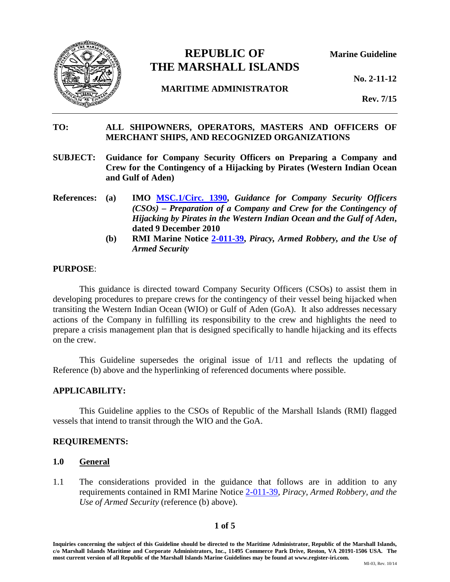

# **REPUBLIC OF Marine Guideline THE MARSHALL ISLANDS**

**No. 2-11-12** 

# **MARITIME ADMINISTRATOR**

**Rev. 7/15**

# **TO: ALL SHIPOWNERS, OPERATORS, MASTERS AND OFFICERS OF MERCHANT SHIPS, AND RECOGNIZED ORGANIZATIONS**

- **SUBJECT: Guidance for Company Security Officers on Preparing a Company and Crew for the Contingency of a Hijacking by Pirates (Western Indian Ocean and Gulf of Aden)**
- **References: (a) IMO [MSC.1/Circ. 1390,](http://www.register-iri.com/forms/upload/MSC.1-Circ.1390.pdf)** *Guidance for Company Security Officers (CSOs) – Preparation of a Company and Crew for the Contingency of Hijacking by Pirates in the Western Indian Ocean and the Gulf of Aden***, dated 9 December 2010**
	- **(b) RMI Marine Notice [2-011-39,](http://www.register-iri.com/forms/upload/MN-2-011-39.pdf)** *Piracy, Armed Robbery, and the Use of Armed Security*

#### **PURPOSE**:

This guidance is directed toward Company Security Officers (CSOs) to assist them in developing procedures to prepare crews for the contingency of their vessel being hijacked when transiting the Western Indian Ocean (WIO) or Gulf of Aden (GoA). It also addresses necessary actions of the Company in fulfilling its responsibility to the crew and highlights the need to prepare a crisis management plan that is designed specifically to handle hijacking and its effects on the crew.

This Guideline supersedes the original issue of 1/11 and reflects the updating of Reference (b) above and the hyperlinking of referenced documents where possible.

## **APPLICABILITY:**

This Guideline applies to the CSOs of Republic of the Marshall Islands (RMI) flagged vessels that intend to transit through the WIO and the GoA.

## **REQUIREMENTS:**

#### **1.0 General**

1.1 The considerations provided in the guidance that follows are in addition to any requirements contained in RMI Marine Notice [2-011-39,](http://www.register-iri.com/forms/upload/MN-2-011-39.pdf) *Piracy, Armed Robbery, and the Use of Armed Security* (reference (b) above).

## **1 of 5**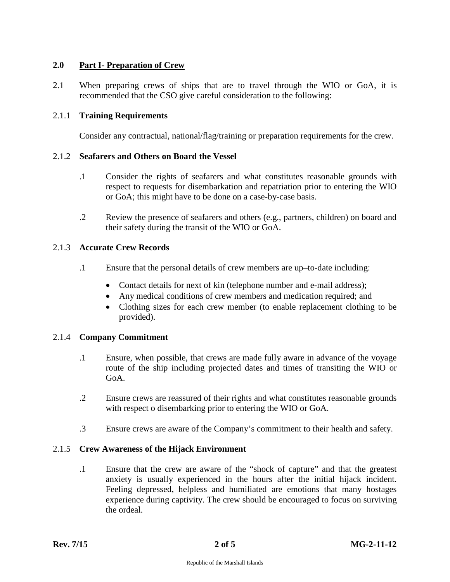# **2.0 Part I- Preparation of Crew**

2.1 When preparing crews of ships that are to travel through the WIO or GoA, it is recommended that the CSO give careful consideration to the following:

## 2.1.1 **Training Requirements**

Consider any contractual, national/flag/training or preparation requirements for the crew.

## 2.1.2 **Seafarers and Others on Board the Vessel**

- .1 Consider the rights of seafarers and what constitutes reasonable grounds with respect to requests for disembarkation and repatriation prior to entering the WIO or GoA; this might have to be done on a case-by-case basis.
- .2 Review the presence of seafarers and others (e.g., partners, children) on board and their safety during the transit of the WIO or GoA.

#### 2.1.3 **Accurate Crew Records**

- .1 Ensure that the personal details of crew members are up–to-date including:
	- Contact details for next of kin (telephone number and e-mail address);
	- Any medical conditions of crew members and medication required; and
	- Clothing sizes for each crew member (to enable replacement clothing to be provided).

## 2.1.4 **Company Commitment**

- .1 Ensure, when possible, that crews are made fully aware in advance of the voyage route of the ship including projected dates and times of transiting the WIO or GoA.
- .2 Ensure crews are reassured of their rights and what constitutes reasonable grounds with respect o disembarking prior to entering the WIO or GoA.
- .3 Ensure crews are aware of the Company's commitment to their health and safety.

## 2.1.5 **Crew Awareness of the Hijack Environment**

.1 Ensure that the crew are aware of the "shock of capture" and that the greatest anxiety is usually experienced in the hours after the initial hijack incident. Feeling depressed, helpless and humiliated are emotions that many hostages experience during captivity. The crew should be encouraged to focus on surviving the ordeal.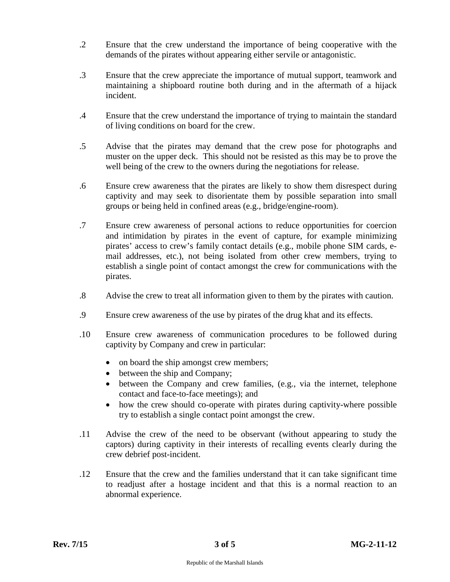- .2 Ensure that the crew understand the importance of being cooperative with the demands of the pirates without appearing either servile or antagonistic.
- .3 Ensure that the crew appreciate the importance of mutual support, teamwork and maintaining a shipboard routine both during and in the aftermath of a hijack incident.
- .4 Ensure that the crew understand the importance of trying to maintain the standard of living conditions on board for the crew.
- .5 Advise that the pirates may demand that the crew pose for photographs and muster on the upper deck. This should not be resisted as this may be to prove the well being of the crew to the owners during the negotiations for release.
- .6 Ensure crew awareness that the pirates are likely to show them disrespect during captivity and may seek to disorientate them by possible separation into small groups or being held in confined areas (e.g., bridge/engine-room).
- .7 Ensure crew awareness of personal actions to reduce opportunities for coercion and intimidation by pirates in the event of capture, for example minimizing pirates' access to crew's family contact details (e.g., mobile phone SIM cards, email addresses, etc.), not being isolated from other crew members, trying to establish a single point of contact amongst the crew for communications with the pirates.
- .8 Advise the crew to treat all information given to them by the pirates with caution.
- .9 Ensure crew awareness of the use by pirates of the drug khat and its effects.
- .10 Ensure crew awareness of communication procedures to be followed during captivity by Company and crew in particular:
	- on board the ship amongst crew members;
	- between the ship and Company;
	- between the Company and crew families, (e.g., via the internet, telephone contact and face-to-face meetings); and
	- how the crew should co-operate with pirates during captivity-where possible try to establish a single contact point amongst the crew.
- .11 Advise the crew of the need to be observant (without appearing to study the captors) during captivity in their interests of recalling events clearly during the crew debrief post-incident.
- .12 Ensure that the crew and the families understand that it can take significant time to readjust after a hostage incident and that this is a normal reaction to an abnormal experience.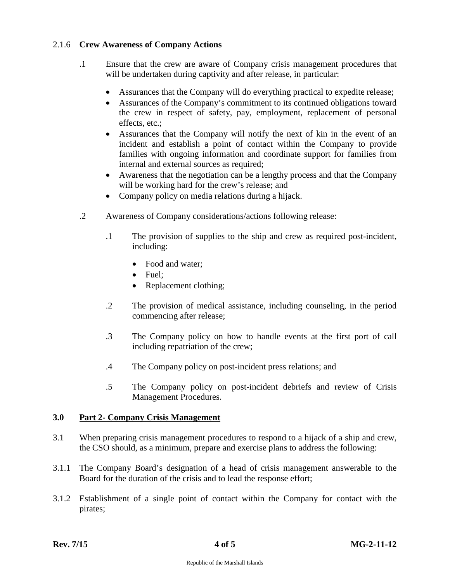# 2.1.6 **Crew Awareness of Company Actions**

- .1 Ensure that the crew are aware of Company crisis management procedures that will be undertaken during captivity and after release, in particular:
	- Assurances that the Company will do everything practical to expedite release;
	- Assurances of the Company's commitment to its continued obligations toward the crew in respect of safety, pay, employment, replacement of personal effects, etc.;
	- Assurances that the Company will notify the next of kin in the event of an incident and establish a point of contact within the Company to provide families with ongoing information and coordinate support for families from internal and external sources as required;
	- Awareness that the negotiation can be a lengthy process and that the Company will be working hard for the crew's release; and
	- Company policy on media relations during a hijack.
- .2 Awareness of Company considerations/actions following release:
	- .1 The provision of supplies to the ship and crew as required post-incident, including:
		- Food and water:
		- Fuel;
		- Replacement clothing;
	- .2 The provision of medical assistance, including counseling, in the period commencing after release;
	- .3 The Company policy on how to handle events at the first port of call including repatriation of the crew;
	- .4 The Company policy on post-incident press relations; and
	- .5 The Company policy on post-incident debriefs and review of Crisis Management Procedures.

## **3.0 Part 2- Company Crisis Management**

- 3.1 When preparing crisis management procedures to respond to a hijack of a ship and crew, the CSO should, as a minimum, prepare and exercise plans to address the following:
- 3.1.1 The Company Board's designation of a head of crisis management answerable to the Board for the duration of the crisis and to lead the response effort;
- 3.1.2 Establishment of a single point of contact within the Company for contact with the pirates;